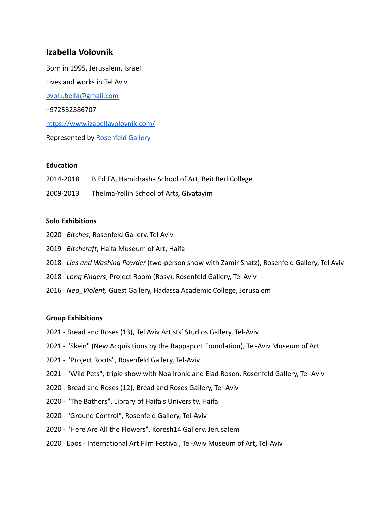# **Izabella Volovnik**

Born in 1995, Jerusalem, Israel. Lives and works in Tel Aviv [bvolk.bella@gmail.com](mailto:bvolk.bella@gmail.com) +972532386707 <https://www.izabellavolovnik.com/> Represented by [Rosenfeld Gallery](https://rg.co.il/artist/bella-volovnik/)

## **Education**

2014-2018 B.Ed.FA, Hamidrasha School of Art, Beit Berl College 2009-2013 Thelma-Yellin School of Arts, Givatayim

## **Solo Exhibitions**

- 2020 *Bitches*, Rosenfeld Gallery, Tel Aviv
- 2019 *Bitchcraft*, Haifa Museum of Art, Haifa
- 2018 *Lies and Washing Powder* (two-person show with Zamir Shatz), Rosenfeld Gallery, Tel Aviv
- 2018 *Long Fingers*, Project Room (Rosy), Rosenfeld Gallery, Tel Aviv
- 2016 *Neo\_Violent,* Guest Gallery, Hadassa Academic College, Jerusalem

#### **Group Exhibitions**

- 2021 Bread and Roses (13), Tel Aviv Artists' Studios Gallery, Tel-Aviv
- 2021 "Skein" (New Acquisitions by the Rappaport Foundation), Tel-Aviv Museum of Art
- 2021 "Project Roots", Rosenfeld Gallery, Tel-Aviv
- 2021 "Wild Pets", triple show with Noa Ironic and Elad Rosen, Rosenfeld Gallery, Tel-Aviv
- 2020 Bread and Roses (12), Bread and Roses Gallery, Tel-Aviv
- 2020 "The Bathers", Library of Haifa's University, Haifa
- 2020 "Ground Control", Rosenfeld Gallery, Tel-Aviv
- 2020 "Here Are All the Flowers", Koresh14 Gallery, Jerusalem
- 2020 Epos International Art Film Festival, Tel-Aviv Museum of Art, Tel-Aviv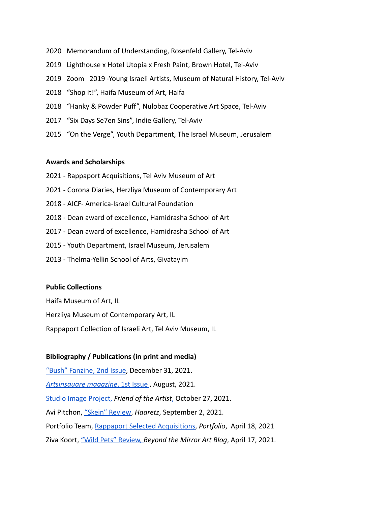- 2020 Memorandum of Understanding, Rosenfeld Gallery, Tel-Aviv
- 2019 Lighthouse x Hotel Utopia x Fresh Paint, Brown Hotel, Tel-Aviv
- 2019 Zoom 2019 -Young Israeli Artists, Museum of Natural History, Tel-Aviv
- 2018 "Shop it!", Haifa Museum of Art, Haifa
- 2018 "Hanky & Powder Puff", Nulobaz Cooperative Art Space, Tel-Aviv
- 2017 "Six Days Se7en Sins", Indie Gallery, Tel-Aviv
- 2015 "On the Verge", Youth Department, The Israel Museum, Jerusalem

#### **Awards and Scholarships**

- 2021 Rappaport Acquisitions, Tel Aviv Museum of Art
- 2021 Corona Diaries, Herzliya Museum of Contemporary Art
- 2018 AICF- America-Israel Cultural Foundation
- 2018 Dean award of excellence, Hamidrasha School of Art
- 2017 Dean award of excellence, Hamidrasha School of Art
- 2015 Youth Department, Israel Museum, Jerusalem
- 2013 Thelma-Yellin School of Arts, Givatayim

#### **Public Collections**

Haifa Museum of Art, IL Herzliya Museum of Contemporary Art, IL Rappaport Collection of Israeli Art, Tel Aviv Museum, IL

# **Bibliography / Publications (in print and media)**

["Bush" Fanzine, 2nd Issue](https://www.bushfanzine.com/post/%D7%92%D7%9C%D7%A8%D7%99%D7%94-3), December 31, 2021. *[Artsinsquare magazine](https://artsinsquare.com/issue)*, 1st Issue , August, 2021. [Studio Image Project,](https://www.friendoftheartist.com/asia-studios) *Friend of the Artist*, October 27, 2021. Avi Pitchon, ["Skein" Review](https://www.haaretz.co.il/gallery/art/artreview/1.10173078), *Haaretz*, September 2, 2021. Portfolio Team, [Rappaport Selected Acquisitions,](https://www.prtfl.co.il/archives/145673) *Portfolio*, April 18, 2021 Ziva Koort, ["Wild Pets" Review,](https://zivakoort.com/2021/04/17/%D7%97%D7%99%D7%95%D7%AA-%D7%9E%D7%97%D7%9E%D7%93-%D7%90%D7%9C%D7%A2%D7%93-%D7%A8%D7%95%D7%96%D7%9F-%D7%90%D7%99%D7%96%D7%91%D7%9C%D7%94-%D7%95%D7%95%D7%9C%D7%95%D7%91%D7%A0%D7%99%D7%A7-%D7%A0/) *Beyond the Mirror Art Blog*, April 17, 2021.